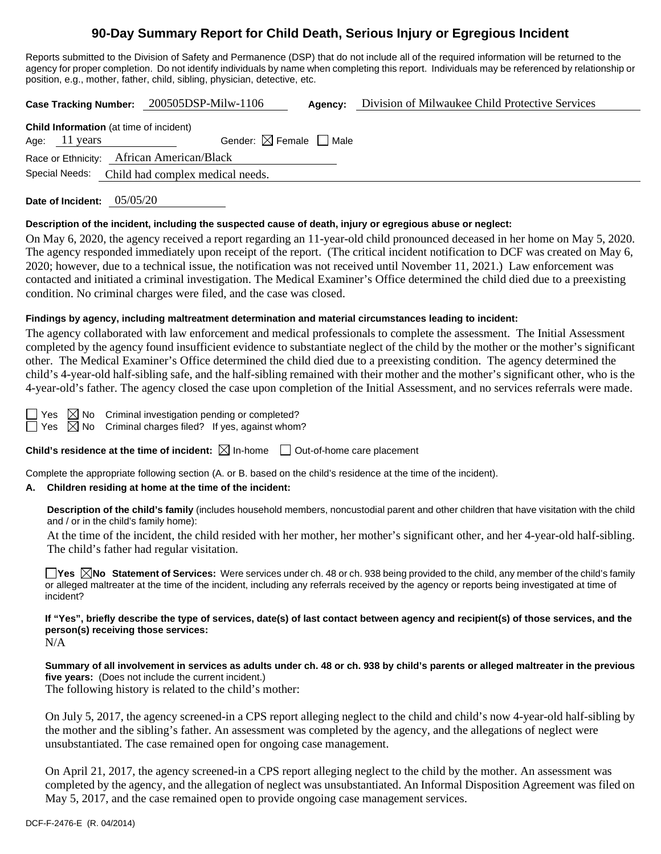# **90-Day Summary Report for Child Death, Serious Injury or Egregious Incident**

Reports submitted to the Division of Safety and Permanence (DSP) that do not include all of the required information will be returned to the agency for proper completion. Do not identify individuals by name when completing this report. Individuals may be referenced by relationship or position, e.g., mother, father, child, sibling, physician, detective, etc.

**Case Tracking Number:** 200505DSP-Milw-1106 **Agency:** Division of Milwaukee Child Protective Services

| <b>Child Information</b> (at time of incident)  |                                        |  |  |  |  |
|-------------------------------------------------|----------------------------------------|--|--|--|--|
| Age: 11 years                                   | Gender: $\boxtimes$ Female $\Box$ Male |  |  |  |  |
| Race or Ethnicity: African American/Black       |                                        |  |  |  |  |
| Special Needs: Child had complex medical needs. |                                        |  |  |  |  |

**Date of Incident:** 05/05/20

## **Description of the incident, including the suspected cause of death, injury or egregious abuse or neglect:**

On May 6, 2020, the agency received a report regarding an 11-year-old child pronounced deceased in her home on May 5, 2020. The agency responded immediately upon receipt of the report. (The critical incident notification to DCF was created on May 6, 2020; however, due to a technical issue, the notification was not received until November 11, 2021.) Law enforcement was contacted and initiated a criminal investigation. The Medical Examiner's Office determined the child died due to a preexisting condition. No criminal charges were filed, and the case was closed.

## **Findings by agency, including maltreatment determination and material circumstances leading to incident:**

The agency collaborated with law enforcement and medical professionals to complete the assessment. The Initial Assessment completed by the agency found insufficient evidence to substantiate neglect of the child by the mother or the mother's significant other. The Medical Examiner's Office determined the child died due to a preexisting condition. The agency determined the child's 4-year-old half-sibling safe, and the half-sibling remained with their mother and the mother's significant other, who is the 4-year-old's father. The agency closed the case upon completion of the Initial Assessment, and no services referrals were made.

Yes  $\boxtimes$  No Criminal investigation pending or completed?  $\Box$  Yes  $\boxtimes$  No Criminal charges filed? If yes, against whom?

**Child's residence at the time of incident:**  $\boxtimes$  In-home  $\Box$  Out-of-home care placement

Complete the appropriate following section (A. or B. based on the child's residence at the time of the incident).

# **A. Children residing at home at the time of the incident:**

**Description of the child's family** (includes household members, noncustodial parent and other children that have visitation with the child and / or in the child's family home):

At the time of the incident, the child resided with her mother, her mother's significant other, and her 4-year-old half-sibling. The child's father had regular visitation.

**Yes No** Statement of Services: Were services under ch. 48 or ch. 938 being provided to the child, any member of the child's family or alleged maltreater at the time of the incident, including any referrals received by the agency or reports being investigated at time of incident?

**If "Yes", briefly describe the type of services, date(s) of last contact between agency and recipient(s) of those services, and the person(s) receiving those services:** N/A

**Summary of all involvement in services as adults under ch. 48 or ch. 938 by child's parents or alleged maltreater in the previous five years:** (Does not include the current incident.)

The following history is related to the child's mother:

On July 5, 2017, the agency screened-in a CPS report alleging neglect to the child and child's now 4-year-old half-sibling by the mother and the sibling's father. An assessment was completed by the agency, and the allegations of neglect were unsubstantiated. The case remained open for ongoing case management.

On April 21, 2017, the agency screened-in a CPS report alleging neglect to the child by the mother. An assessment was completed by the agency, and the allegation of neglect was unsubstantiated. An Informal Disposition Agreement was filed on May 5, 2017, and the case remained open to provide ongoing case management services.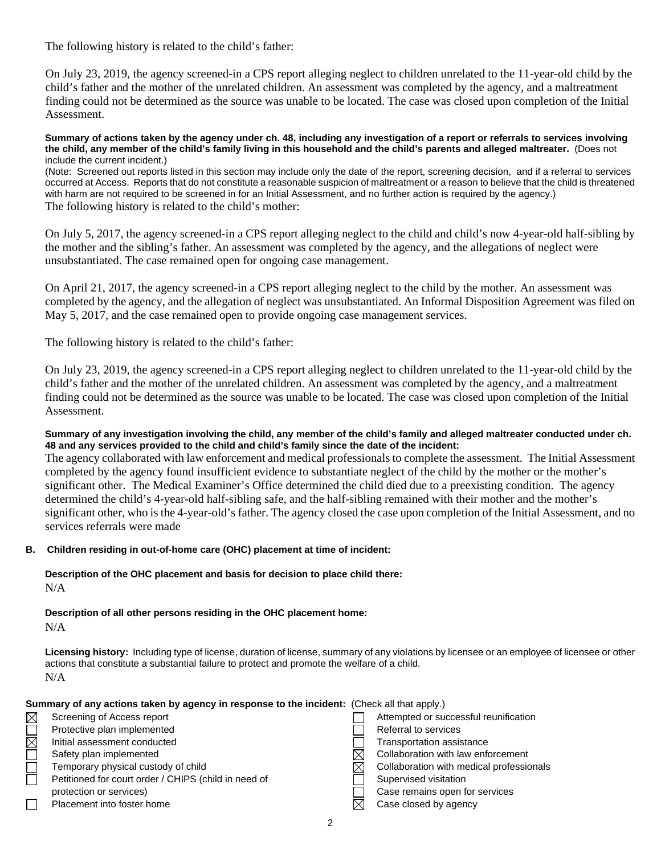The following history is related to the child's father:

On July 23, 2019, the agency screened-in a CPS report alleging neglect to children unrelated to the 11-year-old child by the child's father and the mother of the unrelated children. An assessment was completed by the agency, and a maltreatment finding could not be determined as the source was unable to be located. The case was closed upon completion of the Initial Assessment.

**Summary of actions taken by the agency under ch. 48, including any investigation of a report or referrals to services involving the child, any member of the child's family living in this household and the child's parents and alleged maltreater.** (Does not include the current incident.)

(Note: Screened out reports listed in this section may include only the date of the report, screening decision, and if a referral to services occurred at Access. Reports that do not constitute a reasonable suspicion of maltreatment or a reason to believe that the child is threatened with harm are not required to be screened in for an Initial Assessment, and no further action is required by the agency.) The following history is related to the child's mother:

On July 5, 2017, the agency screened-in a CPS report alleging neglect to the child and child's now 4-year-old half-sibling by the mother and the sibling's father. An assessment was completed by the agency, and the allegations of neglect were unsubstantiated. The case remained open for ongoing case management.

On April 21, 2017, the agency screened-in a CPS report alleging neglect to the child by the mother. An assessment was completed by the agency, and the allegation of neglect was unsubstantiated. An Informal Disposition Agreement was filed on May 5, 2017, and the case remained open to provide ongoing case management services.

The following history is related to the child's father:

On July 23, 2019, the agency screened-in a CPS report alleging neglect to children unrelated to the 11-year-old child by the child's father and the mother of the unrelated children. An assessment was completed by the agency, and a maltreatment finding could not be determined as the source was unable to be located. The case was closed upon completion of the Initial Assessment.

**Summary of any investigation involving the child, any member of the child's family and alleged maltreater conducted under ch. 48 and any services provided to the child and child's family since the date of the incident:**

The agency collaborated with law enforcement and medical professionals to complete the assessment. The Initial Assessment completed by the agency found insufficient evidence to substantiate neglect of the child by the mother or the mother's significant other. The Medical Examiner's Office determined the child died due to a preexisting condition. The agency determined the child's 4-year-old half-sibling safe, and the half-sibling remained with their mother and the mother's significant other, who is the 4-year-old's father. The agency closed the case upon completion of the Initial Assessment, and no services referrals were made

## **B. Children residing in out-of-home care (OHC) placement at time of incident:**

**Description of the OHC placement and basis for decision to place child there:** N/A

**Description of all other persons residing in the OHC placement home:**  $N/A$ 

**Licensing history:** Including type of license, duration of license, summary of any violations by licensee or an employee of licensee or other actions that constitute a substantial failure to protect and promote the welfare of a child. N/A

**Summary of any actions taken by agency in response to the incident:** (Check all that apply.)

| <u>ominical y or any aodiono tanon by agonoy in rooponoo to the increasing followith that apply f</u> |                                                      |  |                                          |  |
|-------------------------------------------------------------------------------------------------------|------------------------------------------------------|--|------------------------------------------|--|
| $\boxtimes$                                                                                           | Screening of Access report                           |  | Attempted or successful reunification    |  |
|                                                                                                       | Protective plan implemented                          |  | Referral to services                     |  |
| $\boxtimes$                                                                                           | Initial assessment conducted                         |  | <b>Transportation assistance</b>         |  |
|                                                                                                       | Safety plan implemented                              |  | Collaboration with law enforcement       |  |
|                                                                                                       | Temporary physical custody of child                  |  | Collaboration with medical professionals |  |
|                                                                                                       | Petitioned for court order / CHIPS (child in need of |  | Supervised visitation                    |  |
|                                                                                                       | protection or services)                              |  | Case remains open for services           |  |
|                                                                                                       | Placement into foster home                           |  | Case closed by agency                    |  |
|                                                                                                       |                                                      |  |                                          |  |